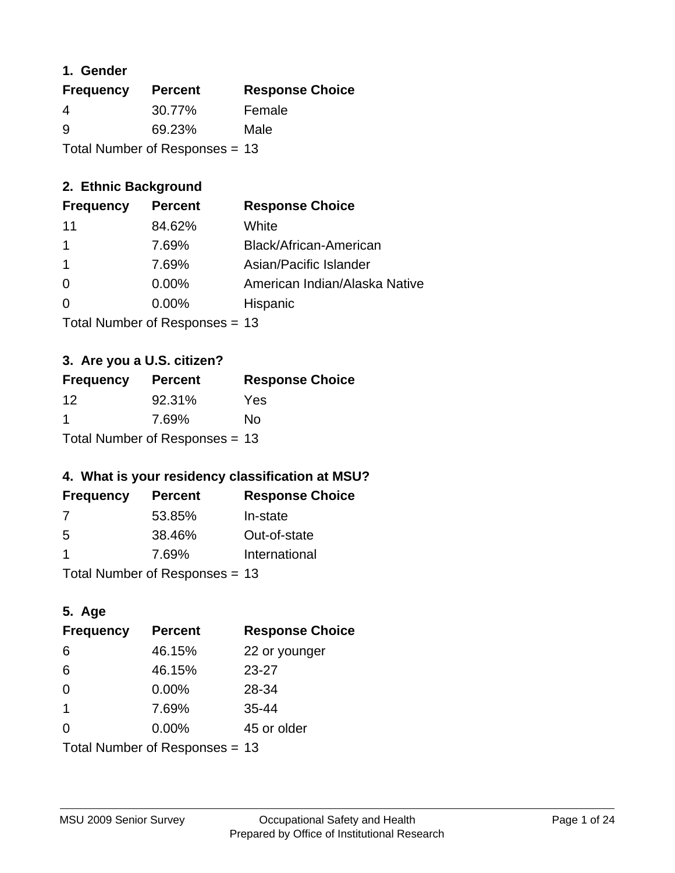### **1. Gender**

| <b>Frequency</b>                 | <b>Percent</b> | <b>Response Choice</b> |
|----------------------------------|----------------|------------------------|
| 4                                | 30.77%         | Female                 |
| 9                                | 69.23%         | Male                   |
| Total Number of Responses $= 13$ |                |                        |

## **2. Ethnic Background**

| <b>Frequency</b> | <b>Percent</b> | <b>Response Choice</b>        |
|------------------|----------------|-------------------------------|
| 11               | 84.62%         | White                         |
|                  | 7.69%          | Black/African-American        |
|                  | 7.69%          | Asian/Pacific Islander        |
| $\Omega$         | 0.00%          | American Indian/Alaska Native |
| $\Omega$         | 0.00%          | Hispanic                      |
|                  |                |                               |

Total Number of Responses = 13

### **3. Are you a U.S. citizen?**

| <b>Frequency</b>                 | <b>Percent</b> | <b>Response Choice</b> |
|----------------------------------|----------------|------------------------|
| 12                               | 92.31%         | Yes                    |
| -1                               | 7.69%          | No                     |
| Total Number of Responses $= 13$ |                |                        |

## **4. What is your residency classification at MSU?**

| <b>Frequency</b> | <b>Percent</b> | <b>Response Choice</b> |
|------------------|----------------|------------------------|
| 7                | 53.85%         | In-state               |
| .5               | 38.46%         | Out-of-state           |
|                  | 7.69%          | International          |
|                  |                |                        |

Total Number of Responses = 13

## **5. Age**

| <b>Frequency</b>               | <b>Percent</b> | <b>Response Choice</b> |
|--------------------------------|----------------|------------------------|
| 6                              | 46.15%         | 22 or younger          |
| 6                              | 46.15%         | $23 - 27$              |
| $\overline{0}$                 | 0.00%          | 28-34                  |
| $\mathbf 1$                    | 7.69%          | $35 - 44$              |
| $\Omega$                       | 0.00%          | 45 or older            |
| Total Number of Responses = 13 |                |                        |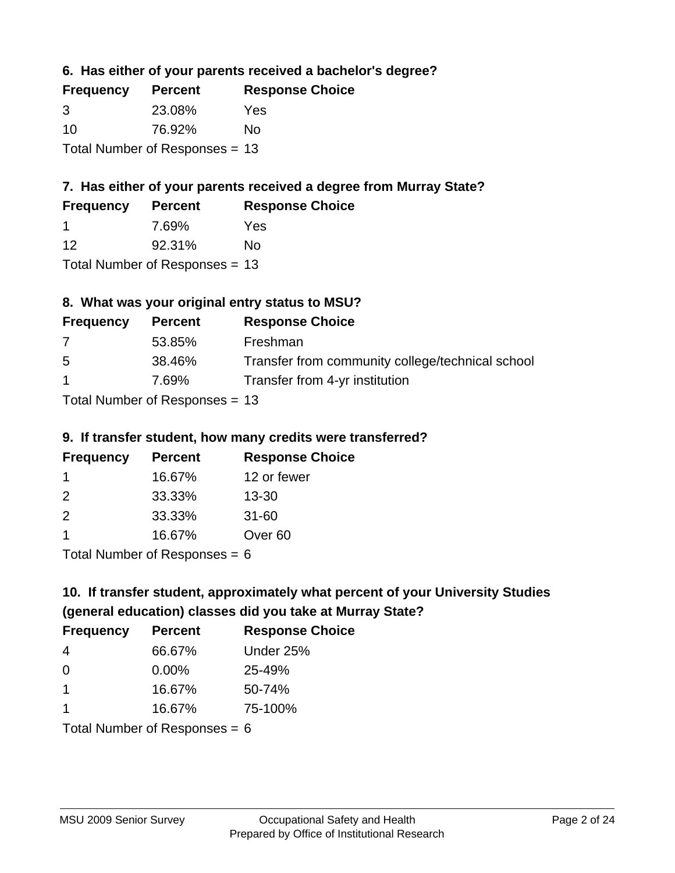**6. Has either of your parents received a bachelor's degree?**

| <b>Frequency</b> | <b>Percent</b>                   | <b>Response Choice</b> |
|------------------|----------------------------------|------------------------|
| 3                | 23.08%                           | Yes                    |
| 10               | 76.92%                           | Nο                     |
|                  | Total Number of Responses $= 13$ |                        |

## **7. Has either of your parents received a degree from Murray State?**

| <b>Frequency</b> | <b>Percent</b> | <b>Response Choice</b> |
|------------------|----------------|------------------------|
|                  | 7.69%          | Yes                    |
| 12               | 92.31%         | No                     |

Total Number of Responses = 13

## **8. What was your original entry status to MSU?**

| <b>Frequency</b>                 | <b>Percent</b> | <b>Response Choice</b>                           |
|----------------------------------|----------------|--------------------------------------------------|
| 7                                | 53.85%         | Freshman                                         |
| 5                                | 38.46%         | Transfer from community college/technical school |
| $\mathbf 1$                      | 7.69%          | Transfer from 4-yr institution                   |
| $Total Number of Doononoog = 42$ |                |                                                  |

Total Number of Responses = 13

### **9. If transfer student, how many credits were transferred?**

| <b>Frequency</b> | <b>Percent</b>             | <b>Response Choice</b> |
|------------------|----------------------------|------------------------|
|                  | 16.67%                     | 12 or fewer            |
| $\mathcal{P}$    | 33.33%                     | $13 - 30$              |
| $\mathcal{P}$    | 33.33%                     | $31 - 60$              |
|                  | 16.67%                     | Over <sub>60</sub>     |
|                  | Tatal Number of Desperance |                        |

Total Number of Responses = 6

## **10. If transfer student, approximately what percent of your University Studies (general education) classes did you take at Murray State?**

| <b>Frequency</b>                | <b>Percent</b> | <b>Response Choice</b> |
|---------------------------------|----------------|------------------------|
| 4                               | 66.67%         | Under 25%              |
| $\Omega$                        | $0.00\%$       | 25-49%                 |
| $\overline{1}$                  | 16.67%         | 50-74%                 |
| 1                               | 16.67%         | 75-100%                |
| Total Number of Responses = $6$ |                |                        |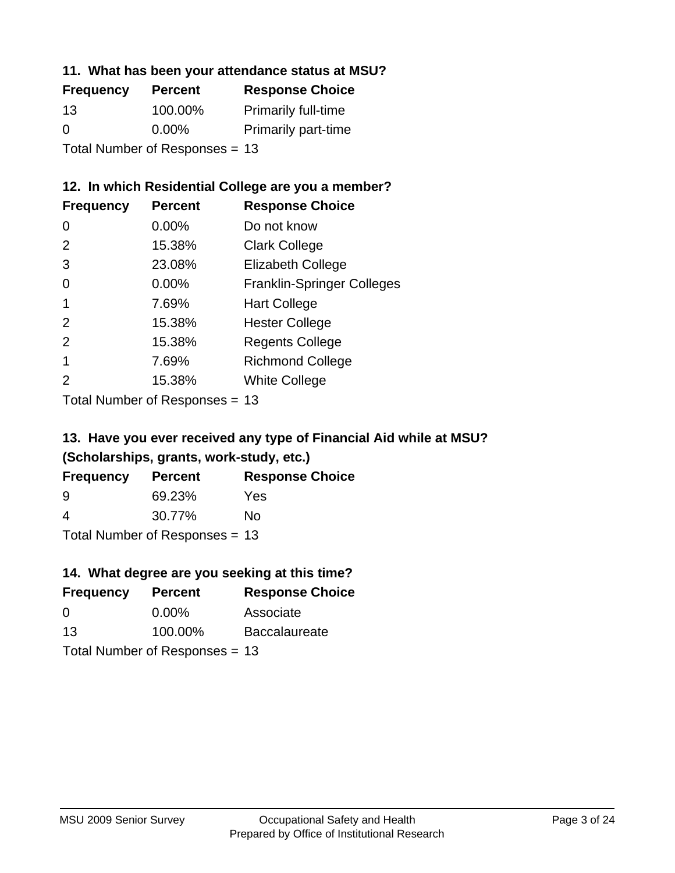### **11. What has been your attendance status at MSU?**

| <b>Frequency</b>               | <b>Percent</b> | <b>Response Choice</b>     |
|--------------------------------|----------------|----------------------------|
| 13                             | 100.00%        | <b>Primarily full-time</b> |
| 0                              | $0.00\%$       | <b>Primarily part-time</b> |
| Total Number of Responses = 13 |                |                            |

## **12. In which Residential College are you a member?**

| <b>Frequency</b> | <b>Percent</b> | <b>Response Choice</b>            |
|------------------|----------------|-----------------------------------|
| 0                | $0.00\%$       | Do not know                       |
| 2                | 15.38%         | <b>Clark College</b>              |
| 3                | 23.08%         | <b>Elizabeth College</b>          |
| 0                | $0.00\%$       | <b>Franklin-Springer Colleges</b> |
|                  | 7.69%          | <b>Hart College</b>               |
| $\mathcal{P}$    | 15.38%         | <b>Hester College</b>             |
| 2                | 15.38%         | <b>Regents College</b>            |
|                  | 7.69%          | <b>Richmond College</b>           |
|                  | 15.38%         | <b>White College</b>              |
|                  |                |                                   |

Total Number of Responses = 13

## **13. Have you ever received any type of Financial Aid while at MSU? (Scholarships, grants, work-study, etc.)**

| <b>Frequency</b> | <b>Percent</b>            | <b>Response Choice</b> |
|------------------|---------------------------|------------------------|
| 9                | 69.23%                    | Yes                    |
| 4                | 30.77%                    | Nο                     |
|                  | Total Number of Deepersee |                        |

Total Number of Responses = 13

## **14. What degree are you seeking at this time?**

| <b>Frequency</b> | <b>Percent</b>                   | <b>Response Choice</b> |
|------------------|----------------------------------|------------------------|
| 0                | $0.00\%$                         | Associate              |
| 13               | 100.00%                          | <b>Baccalaureate</b>   |
|                  | Total Number of Responses $= 13$ |                        |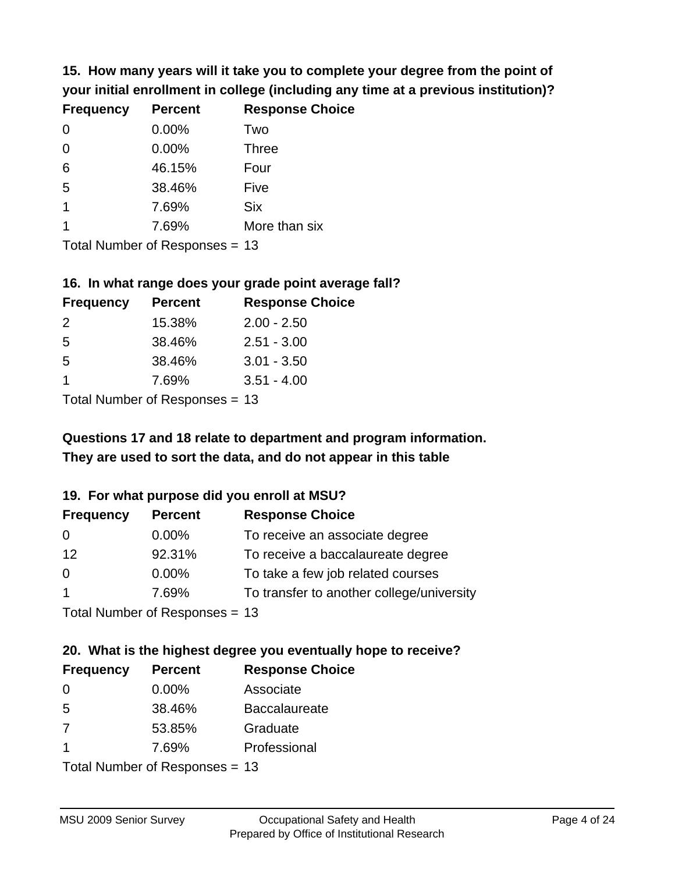**15. How many years will it take you to complete your degree from the point of your initial enrollment in college (including any time at a previous institution)?**

| <b>Frequency</b> | <b>Percent</b> | <b>Response Choice</b> |
|------------------|----------------|------------------------|
| $\Omega$         | 0.00%          | Two                    |
| $\Omega$         | 0.00%          | <b>Three</b>           |
| 6                | 46.15%         | Four                   |
| 5                | 38.46%         | Five                   |
| $\mathbf 1$      | 7.69%          | <b>Six</b>             |
|                  | 7.69%          | More than six          |
|                  |                |                        |

Total Number of Responses = 13

#### **16. In what range does your grade point average fall?**

| <b>Frequency</b> | <b>Percent</b> | <b>Response Choice</b> |
|------------------|----------------|------------------------|
| 2                | 15.38%         | $2.00 - 2.50$          |
| -5               | 38.46%         | $2.51 - 3.00$          |
| -5               | 38.46%         | $3.01 - 3.50$          |
|                  | 7.69%          | $3.51 - 4.00$          |
|                  |                |                        |

Total Number of Responses = 13

## **They are used to sort the data, and do not appear in this table Questions 17 and 18 relate to department and program information.**

### **19. For what purpose did you enroll at MSU?**

| <b>Frequency</b>             | <b>Percent</b> | <b>Response Choice</b>                    |
|------------------------------|----------------|-------------------------------------------|
| 0                            | $0.00\%$       | To receive an associate degree            |
| 12                           | 92.31%         | To receive a baccalaureate degree         |
| $\overline{0}$               | $0.00\%$       | To take a few job related courses         |
| $\overline{1}$               | 7.69%          | To transfer to another college/university |
| Total Number of Deepensee 42 |                |                                           |

Total Number of Responses = 13

# **20. What is the highest degree you eventually hope to receive?**

| <b>Frequency</b> | <b>Percent</b>            | <b>Response Choice</b> |
|------------------|---------------------------|------------------------|
| 0                | $0.00\%$                  | Associate              |
| 5                | 38.46%                    | <b>Baccalaureate</b>   |
| 7                | 53.85%                    | Graduate               |
| $\mathbf 1$      | 7.69%                     | Professional           |
|                  | Total Number of Despanses |                        |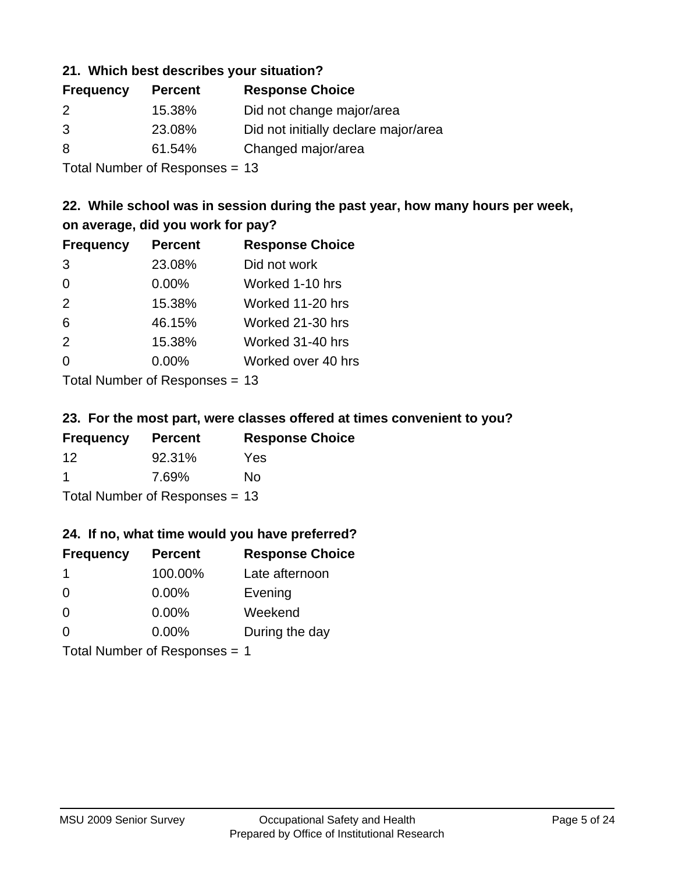### **21. Which best describes your situation?**

| <b>Frequency</b> | <b>Percent</b> | <b>Response Choice</b>               |
|------------------|----------------|--------------------------------------|
| 2                | 15.38%         | Did not change major/area            |
| 3                | 23.08%         | Did not initially declare major/area |
| 8                | 61.54%         | Changed major/area                   |
|                  |                |                                      |

Total Number of Responses = 13

### **22. While school was in session during the past year, how many hours per week, on average, did you work for pay?**

| <b>Frequency</b> | <b>Percent</b> | <b>Response Choice</b> |
|------------------|----------------|------------------------|
| 3                | 23.08%         | Did not work           |
| $\Omega$         | 0.00%          | Worked 1-10 hrs        |
| 2                | 15.38%         | Worked 11-20 hrs       |
| 6                | 46.15%         | Worked 21-30 hrs       |
| 2                | 15.38%         | Worked 31-40 hrs       |
| $\Omega$         | 0.00%          | Worked over 40 hrs     |
|                  |                |                        |

Total Number of Responses = 13

### **23. For the most part, were classes offered at times convenient to you?**

| <b>Frequency</b> | <b>Percent</b>                 | <b>Response Choice</b> |
|------------------|--------------------------------|------------------------|
| 12               | 92.31%                         | Yes                    |
| -1               | 7.69%                          | No.                    |
|                  | Total Number of Responses = 13 |                        |

### **24. If no, what time would you have preferred?**

| <b>Frequency</b>              | <b>Percent</b> | <b>Response Choice</b> |
|-------------------------------|----------------|------------------------|
| -1                            | 100.00%        | Late afternoon         |
| $\Omega$                      | 0.00%          | Evening                |
| $\Omega$                      | $0.00\%$       | Weekend                |
| $\Omega$                      | $0.00\%$       | During the day         |
| Total Number of Responses = 1 |                |                        |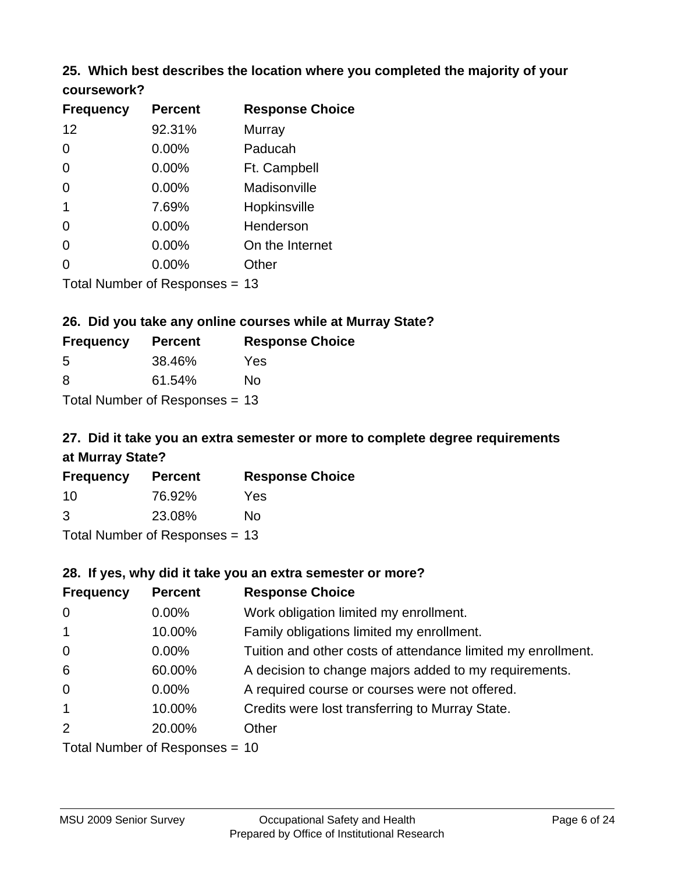# **25. Which best describes the location where you completed the majority of your**

| coursework? |
|-------------|
|-------------|

| <b>Frequency</b> | <b>Percent</b>                   | <b>Response Choice</b> |
|------------------|----------------------------------|------------------------|
| 12               | 92.31%                           | Murray                 |
| 0                | $0.00\%$                         | Paducah                |
| 0                | $0.00\%$                         | Ft. Campbell           |
| 0                | 0.00%                            | Madisonville           |
| 1                | 7.69%                            | Hopkinsville           |
| 0                | $0.00\%$                         | Henderson              |
| 0                | 0.00%                            | On the Internet        |
| 0                | 0.00%                            | Other                  |
|                  | Total Number of Responses $= 13$ |                        |

### **26. Did you take any online courses while at Murray State?**

| <b>Frequency</b>                 | <b>Percent</b> | <b>Response Choice</b> |  |
|----------------------------------|----------------|------------------------|--|
| -5                               | 38.46%         | Yes                    |  |
| -8                               | 61.54%         | No                     |  |
| Total Number of Responses = $13$ |                |                        |  |

## **27. Did it take you an extra semester or more to complete degree requirements at Murray State?**

| <b>Frequency</b>               | <b>Percent</b> | <b>Response Choice</b> |  |
|--------------------------------|----------------|------------------------|--|
| -10                            | 76.92%         | Yes                    |  |
| 3                              | 23.08%         | No                     |  |
| Total Number of Responses = 13 |                |                        |  |

**28. If yes, why did it take you an extra semester or more?**

| <b>Frequency</b>                 | <b>Percent</b> | <b>Response Choice</b>                                       |
|----------------------------------|----------------|--------------------------------------------------------------|
| $\overline{0}$                   | $0.00\%$       | Work obligation limited my enrollment.                       |
| $\overline{1}$                   | 10.00%         | Family obligations limited my enrollment.                    |
| $\mathbf 0$                      | $0.00\%$       | Tuition and other costs of attendance limited my enrollment. |
| 6                                | 60.00%         | A decision to change majors added to my requirements.        |
| $\overline{0}$                   | $0.00\%$       | A required course or courses were not offered.               |
| $\mathbf{1}$                     | 10.00%         | Credits were lost transferring to Murray State.              |
| 2                                | 20.00%         | Other                                                        |
| Total Number of Responses $= 10$ |                |                                                              |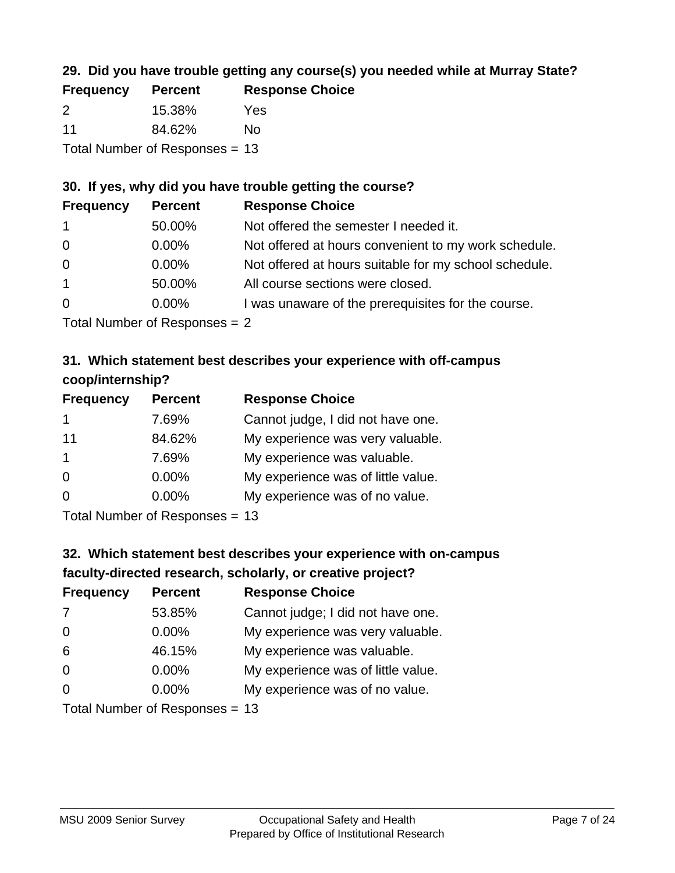## **29. Did you have trouble getting any course(s) you needed while at Murray State?**

| <b>Frequency</b>               | <b>Percent</b> | <b>Response Choice</b> |  |
|--------------------------------|----------------|------------------------|--|
| $\mathcal{P}$                  | 15.38%         | Yes                    |  |
| 11                             | 84.62%         | Nο                     |  |
| Total Number of Responses = 13 |                |                        |  |

### **30. If yes, why did you have trouble getting the course?**

| <b>Frequency</b> | <b>Percent</b> | <b>Response Choice</b>                                |
|------------------|----------------|-------------------------------------------------------|
| $\overline{1}$   | 50.00%         | Not offered the semester I needed it.                 |
| $\overline{0}$   | $0.00\%$       | Not offered at hours convenient to my work schedule.  |
| $\overline{0}$   | $0.00\%$       | Not offered at hours suitable for my school schedule. |
| $\overline{1}$   | 50.00%         | All course sections were closed.                      |
| $\overline{0}$   | $0.00\%$       | I was unaware of the prerequisites for the course.    |
|                  |                |                                                       |

Total Number of Responses = 2

## **31. Which statement best describes your experience with off-campus coop/internship?**

| <b>Frequency</b> | <b>Percent</b> | <b>Response Choice</b>             |
|------------------|----------------|------------------------------------|
| $\mathbf 1$      | 7.69%          | Cannot judge, I did not have one.  |
| 11               | 84.62%         | My experience was very valuable.   |
| $\overline{1}$   | 7.69%          | My experience was valuable.        |
| $\Omega$         | 0.00%          | My experience was of little value. |
| $\Omega$         | $0.00\%$       | My experience was of no value.     |
|                  |                |                                    |

Total Number of Responses = 13

# **32. Which statement best describes your experience with on-campus faculty-directed research, scholarly, or creative project?**

| <b>Frequency</b> | <b>Percent</b>                 | <b>Response Choice</b>             |
|------------------|--------------------------------|------------------------------------|
| 7                | 53.85%                         | Cannot judge; I did not have one.  |
| $\overline{0}$   | $0.00\%$                       | My experience was very valuable.   |
| 6                | 46.15%                         | My experience was valuable.        |
| $\Omega$         | $0.00\%$                       | My experience was of little value. |
| $\Omega$         | $0.00\%$                       | My experience was of no value.     |
|                  | Total Number of Deconoces - 12 |                                    |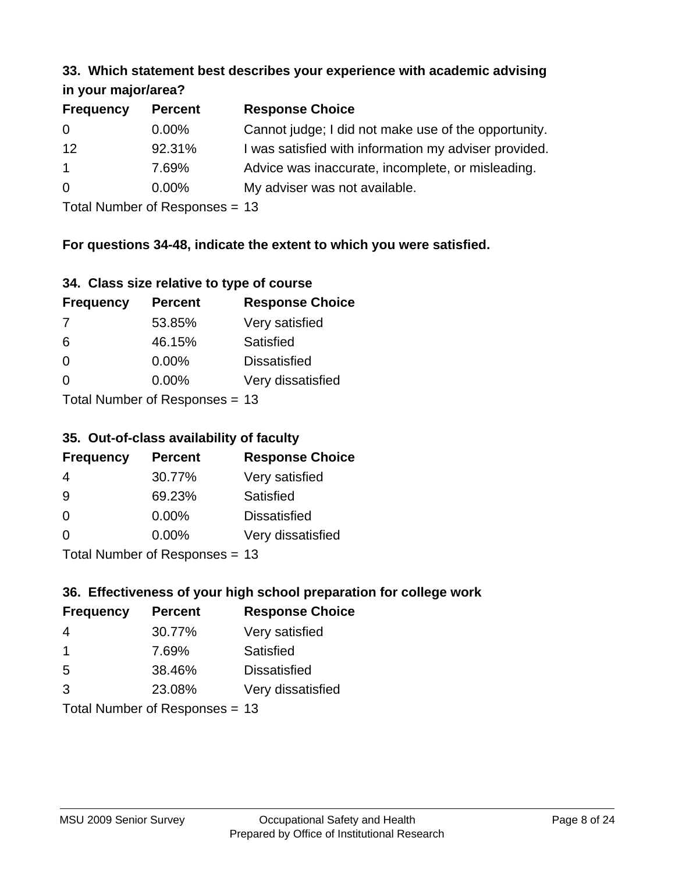#### **33. Which statement best describes your experience with academic advising in your major/area?**

| $\mathbf{u}$ yvu $\mathbf{u}$ yvu $\mathbf{v}$ |                |                                                       |
|------------------------------------------------|----------------|-------------------------------------------------------|
| <b>Frequency</b>                               | <b>Percent</b> | <b>Response Choice</b>                                |
| 0                                              | $0.00\%$       | Cannot judge; I did not make use of the opportunity.  |
| 12                                             | 92.31%         | I was satisfied with information my adviser provided. |
| $\mathbf{1}$                                   | 7.69%          | Advice was inaccurate, incomplete, or misleading.     |
| $\overline{0}$                                 | $0.00\%$       | My adviser was not available.                         |
|                                                |                |                                                       |

Total Number of Responses = 13

## **For questions 34-48, indicate the extent to which you were satisfied.**

| 34. Class size relative to type of course |
|-------------------------------------------|
|-------------------------------------------|

| <b>Frequency</b>                | <b>Percent</b> | <b>Response Choice</b> |  |
|---------------------------------|----------------|------------------------|--|
| -7                              | 53.85%         | Very satisfied         |  |
| 6                               | 46.15%         | Satisfied              |  |
| $\Omega$                        | $0.00\%$       | <b>Dissatisfied</b>    |  |
| $\Omega$                        | 0.00%          | Very dissatisfied      |  |
| Total Number of Responses $-13$ |                |                        |  |

Total Number of Responses = 13

### **35. Out-of-class availability of faculty**

| <b>Frequency</b> | <b>Percent</b>            | <b>Response Choice</b> |
|------------------|---------------------------|------------------------|
| 4                | 30.77%                    | Very satisfied         |
| 9                | 69.23%                    | Satisfied              |
| $\Omega$         | $0.00\%$                  | <b>Dissatisfied</b>    |
| $\Omega$         | $0.00\%$                  | Very dissatisfied      |
|                  | Total Number of DoEROR 0. |                        |

Total Number of Responses = 13

## **36. Effectiveness of your high school preparation for college work**

| <b>Frequency</b>               | <b>Percent</b> | <b>Response Choice</b> |  |
|--------------------------------|----------------|------------------------|--|
| 4                              | 30.77%         | Very satisfied         |  |
| $\blacktriangleleft$           | 7.69%          | Satisfied              |  |
| 5                              | 38.46%         | <b>Dissatisfied</b>    |  |
| 3                              | 23.08%         | Very dissatisfied      |  |
| Total Number of Responses = 13 |                |                        |  |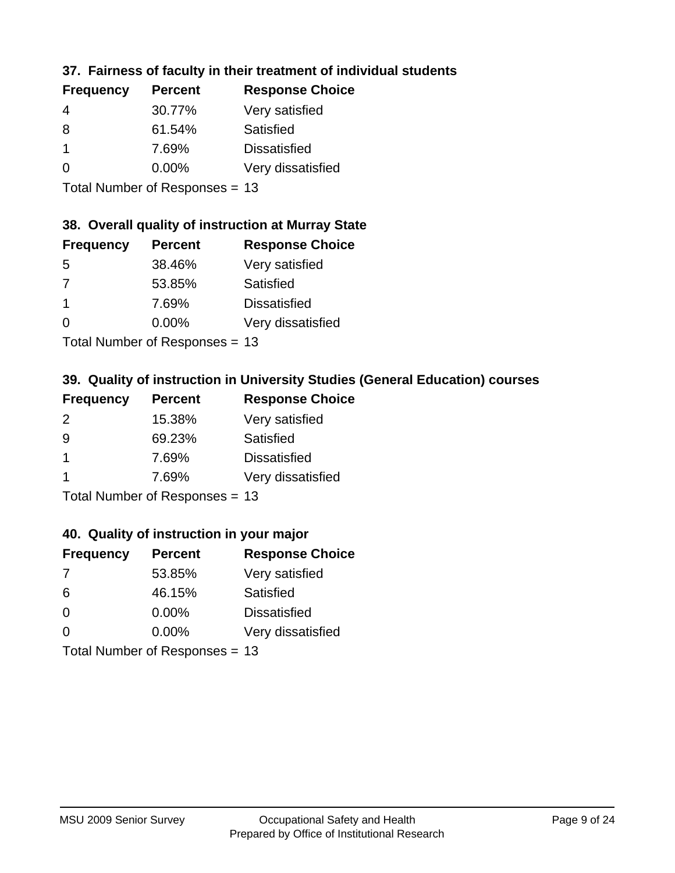## **37. Fairness of faculty in their treatment of individual students**

| <b>Frequency</b> | <b>Percent</b> | <b>Response Choice</b> |
|------------------|----------------|------------------------|
| 4                | 30.77%         | Very satisfied         |
| 8                | 61.54%         | Satisfied              |
|                  | 7.69%          | <b>Dissatisfied</b>    |
| $\Omega$         | 0.00%          | Very dissatisfied      |
|                  |                |                        |

Total Number of Responses = 13

## **38. Overall quality of instruction at Murray State**

| <b>Frequency</b> | <b>Percent</b> | <b>Response Choice</b> |
|------------------|----------------|------------------------|
| 5                | 38.46%         | Very satisfied         |
| 7                | 53.85%         | Satisfied              |
| $\overline{1}$   | 7.69%          | <b>Dissatisfied</b>    |
| $\Omega$         | 0.00%          | Very dissatisfied      |
|                  |                |                        |

Total Number of Responses = 13

## **39. Quality of instruction in University Studies (General Education) courses**

| <b>Frequency</b> | <b>Percent</b>            | <b>Response Choice</b> |
|------------------|---------------------------|------------------------|
| 2                | 15.38%                    | Very satisfied         |
| 9                | 69.23%                    | Satisfied              |
|                  | 7.69%                     | <b>Dissatisfied</b>    |
|                  | 7.69%                     | Very dissatisfied      |
|                  | Total Number of Desponses |                        |

Total Number of Responses = 13

### **40. Quality of instruction in your major**

| <b>Frequency</b> | <b>Percent</b>            | <b>Response Choice</b> |
|------------------|---------------------------|------------------------|
| 7                | 53.85%                    | Very satisfied         |
| 6                | 46.15%                    | Satisfied              |
| $\Omega$         | $0.00\%$                  | <b>Dissatisfied</b>    |
| $\Omega$         | 0.00%                     | Very dissatisfied      |
|                  | Total Number of Deepersee |                        |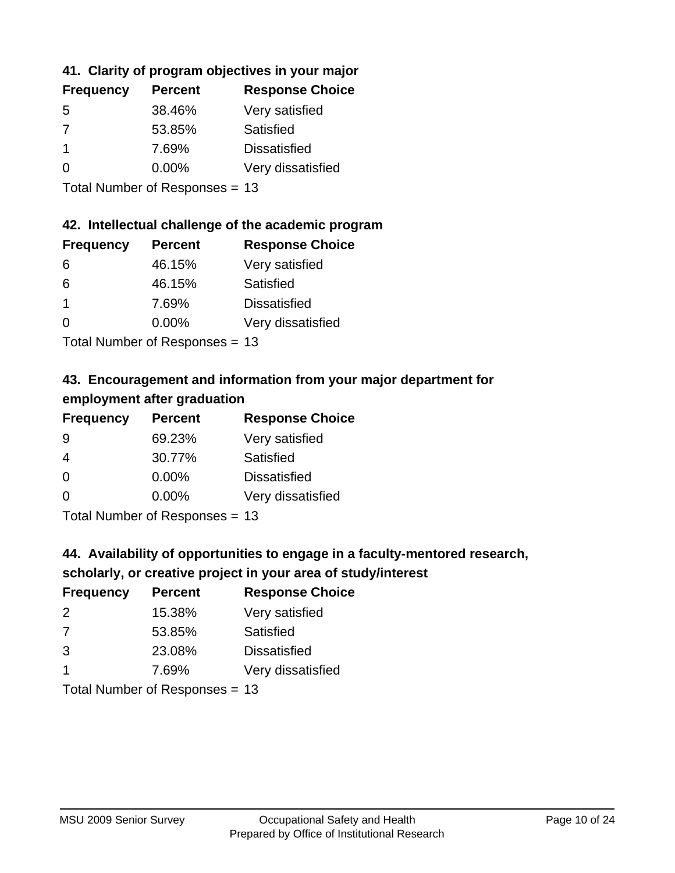## **41. Clarity of program objectives in your major**

| <b>Frequency</b> | <b>Percent</b> | <b>Response Choice</b> |
|------------------|----------------|------------------------|
| .5               | 38.46%         | Very satisfied         |
| 7                | 53.85%         | Satisfied              |
|                  | 7.69%          | <b>Dissatisfied</b>    |
| O                | $0.00\%$       | Very dissatisfied      |
|                  |                |                        |

Total Number of Responses = 13

### **42. Intellectual challenge of the academic program**

| <b>Frequency</b> | <b>Percent</b> | <b>Response Choice</b> |
|------------------|----------------|------------------------|
| 6                | 46.15%         | Very satisfied         |
| 6                | 46.15%         | Satisfied              |
| -1               | 7.69%          | <b>Dissatisfied</b>    |
| $\Omega$         | 0.00%          | Very dissatisfied      |
|                  |                |                        |

Total Number of Responses = 13

## **43. Encouragement and information from your major department for employment after graduation**

| <b>Frequency</b> | <b>Percent</b>                           | <b>Response Choice</b> |
|------------------|------------------------------------------|------------------------|
| 9                | 69.23%                                   | Very satisfied         |
| $\overline{4}$   | 30.77%                                   | Satisfied              |
| 0                | $0.00\%$                                 | <b>Dissatisfied</b>    |
| $\Omega$         | 0.00%                                    | Very dissatisfied      |
|                  | $T$ at all Message and $D$ are a serious |                        |

Total Number of Responses = 13

## **44. Availability of opportunities to engage in a faculty-mentored research,**

## **scholarly, or creative project in your area of study/interest**

| <b>Frequency</b> | <b>Percent</b> | <b>Response Choice</b> |
|------------------|----------------|------------------------|
| 2                | 15.38%         | Very satisfied         |
| 7                | 53.85%         | Satisfied              |
| 3                | 23.08%         | <b>Dissatisfied</b>    |
|                  | 7.69%          | Very dissatisfied      |
|                  |                |                        |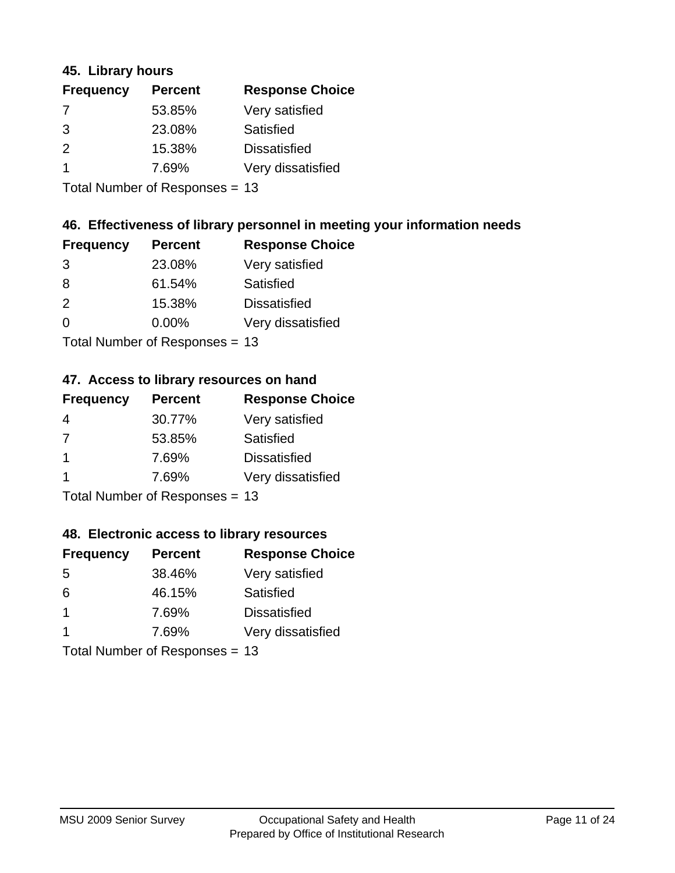### **45. Library hours**

| <b>Frequency</b> | <b>Percent</b> | <b>Response Choice</b> |
|------------------|----------------|------------------------|
| 7                | 53.85%         | Very satisfied         |
| 3                | 23.08%         | Satisfied              |
| $\mathcal{P}$    | 15.38%         | <b>Dissatisfied</b>    |
|                  | 7.69%          | Very dissatisfied      |
|                  |                |                        |

Total Number of Responses = 13

## **46. Effectiveness of library personnel in meeting your information needs**

| <b>Frequency</b> | <b>Percent</b> | <b>Response Choice</b> |
|------------------|----------------|------------------------|
| 3                | 23.08%         | Very satisfied         |
| 8                | 61.54%         | Satisfied              |
| $\mathcal{P}$    | 15.38%         | <b>Dissatisfied</b>    |
| $\Omega$         | 0.00%          | Very dissatisfied      |
|                  |                |                        |

Total Number of Responses = 13

### **47. Access to library resources on hand**

| <b>Frequency</b> | <b>Percent</b>            | <b>Response Choice</b> |
|------------------|---------------------------|------------------------|
| 4                | 30.77%                    | Very satisfied         |
| 7                | 53.85%                    | Satisfied              |
| -1               | 7.69%                     | <b>Dissatisfied</b>    |
|                  | 7.69%                     | Very dissatisfied      |
|                  | Total Number of Desponses |                        |

Total Number of Responses = 13

### **48. Electronic access to library resources**

| <b>Frequency</b> | <b>Percent</b>                 | <b>Response Choice</b> |
|------------------|--------------------------------|------------------------|
| 5                | 38.46%                         | Very satisfied         |
| 6                | 46.15%                         | Satisfied              |
| $\overline{1}$   | 7.69%                          | <b>Dissatisfied</b>    |
| $\mathbf 1$      | 7.69%                          | Very dissatisfied      |
|                  | Total Number of Responses = 13 |                        |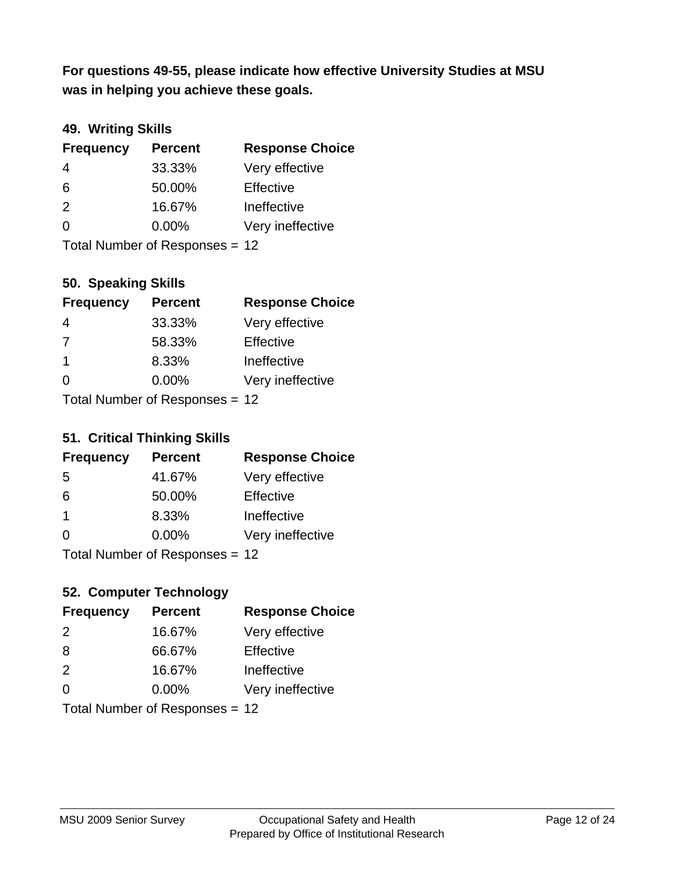**was in helping you achieve these goals. For questions 49-55, please indicate how effective University Studies at MSU** 

## **49. Writing Skills**

| <b>Frequency</b> | <b>Percent</b>                 | <b>Response Choice</b> |
|------------------|--------------------------------|------------------------|
| 4                | 33.33%                         | Very effective         |
| 6                | 50.00%                         | Effective              |
| 2                | 16.67%                         | Ineffective            |
| $\Omega$         | $0.00\%$                       | Very ineffective       |
|                  | Total Number of Responses = 12 |                        |

**50. Speaking Skills**

| <b>Frequency</b>               | <b>Percent</b> | <b>Response Choice</b> |
|--------------------------------|----------------|------------------------|
| 4                              | 33.33%         | Very effective         |
| 7                              | 58.33%         | Effective              |
| $\overline{\mathbf{1}}$        | 8.33%          | Ineffective            |
| $\Omega$                       | 0.00%          | Very ineffective       |
| Total Number of Poenances - 12 |                |                        |

Total Number of Responses = 12

### **51. Critical Thinking Skills**

| <b>Frequency</b>          | <b>Percent</b> | <b>Response Choice</b> |
|---------------------------|----------------|------------------------|
| -5                        | 41.67%         | Very effective         |
| 6                         | 50.00%         | Effective              |
| $\mathbf 1$               | 8.33%          | Ineffective            |
| $\Omega$                  | 0.00%          | Very ineffective       |
| Total Number of DoEROR 0. |                |                        |

Total Number of Responses = 12

## **52. Computer Technology**

| <b>Frequency</b> | <b>Percent</b>                 | <b>Response Choice</b> |
|------------------|--------------------------------|------------------------|
| $\mathcal{P}$    | 16.67%                         | Very effective         |
| 8                | 66.67%                         | Effective              |
| 2                | 16.67%                         | Ineffective            |
| $\Omega$         | $0.00\%$                       | Very ineffective       |
|                  | Total Number of Responses = 12 |                        |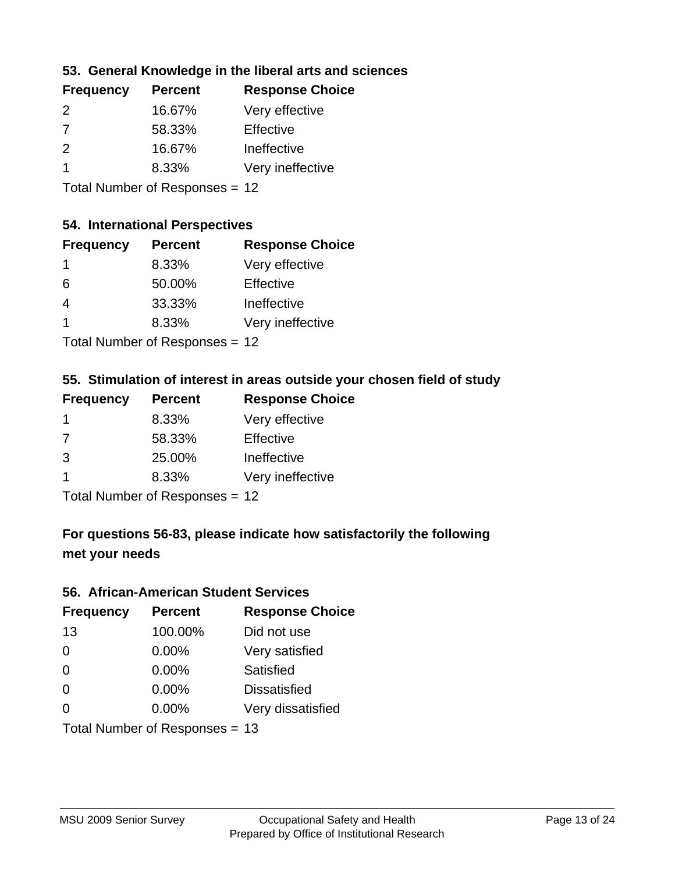### **53. General Knowledge in the liberal arts and sciences**

| <b>Frequency</b> | <b>Percent</b> | <b>Response Choice</b> |
|------------------|----------------|------------------------|
| $\mathcal{P}$    | 16.67%         | Very effective         |
| 7                | 58.33%         | Effective              |
| $\mathcal{P}$    | 16.67%         | Ineffective            |
|                  | 8.33%          | Very ineffective       |
|                  |                |                        |

Total Number of Responses = 12

#### **54. International Perspectives**

| <b>Frequency</b> | <b>Percent</b> | <b>Response Choice</b> |
|------------------|----------------|------------------------|
| 1                | 8.33%          | Very effective         |
| 6                | 50.00%         | Effective              |
| 4                | 33.33%         | Ineffective            |
| 1                | 8.33%          | Very ineffective       |
|                  |                |                        |

Total Number of Responses = 12

### **55. Stimulation of interest in areas outside your chosen field of study**

| <b>Frequency</b> | <b>Percent</b>            | <b>Response Choice</b> |
|------------------|---------------------------|------------------------|
|                  | 8.33%                     | Very effective         |
| 7                | 58.33%                    | Effective              |
| 3                | 25.00%                    | Ineffective            |
|                  | 8.33%                     | Very ineffective       |
|                  | Total Number of Desponses |                        |

I otal Number of Responses = 12

## **For questions 56-83, please indicate how satisfactorily the following met your needs**

#### **56. African-American Student Services**

| <b>Frequency</b> | <b>Percent</b>                 | <b>Response Choice</b> |
|------------------|--------------------------------|------------------------|
| 13               | 100.00%                        | Did not use            |
| $\Omega$         | 0.00%                          | Very satisfied         |
| $\Omega$         | 0.00%                          | Satisfied              |
| $\Omega$         | $0.00\%$                       | <b>Dissatisfied</b>    |
| $\Omega$         | 0.00%                          | Very dissatisfied      |
|                  | Total Number of Responses = 13 |                        |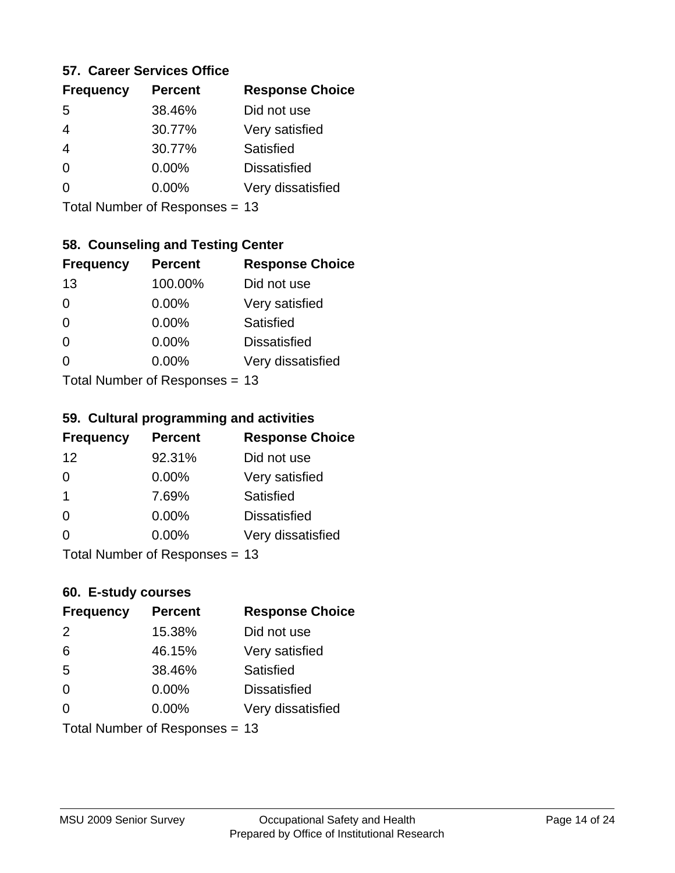### **57. Career Services Office**

| <b>Frequency</b> | <b>Percent</b> | <b>Response Choice</b> |
|------------------|----------------|------------------------|
| 5                | 38.46%         | Did not use            |
|                  | 30.77%         | Very satisfied         |
| $\overline{4}$   | 30.77%         | Satisfied              |
| 0                | 0.00%          | <b>Dissatisfied</b>    |
|                  | $0.00\%$       | Very dissatisfied      |
|                  |                |                        |

Total Number of Responses = 13

### **58. Counseling and Testing Center**

| <b>Frequency</b> | <b>Percent</b>            | <b>Response Choice</b> |
|------------------|---------------------------|------------------------|
| 13               | 100.00%                   | Did not use            |
| $\Omega$         | 0.00%                     | Very satisfied         |
| $\Omega$         | 0.00%                     | Satisfied              |
| $\Omega$         | 0.00%                     | <b>Dissatisfied</b>    |
| 0                | 0.00%                     | Very dissatisfied      |
|                  | Total Number of Desponses |                        |

Total Number of Responses = 13

#### **59. Cultural programming and activities**

| <b>Frequency</b> | <b>Percent</b>                 | <b>Response Choice</b> |
|------------------|--------------------------------|------------------------|
| 12               | 92.31%                         | Did not use            |
| $\Omega$         | 0.00%                          | Very satisfied         |
| -1               | 7.69%                          | Satisfied              |
| $\Omega$         | 0.00%                          | <b>Dissatisfied</b>    |
| $\Omega$         | $0.00\%$                       | Very dissatisfied      |
|                  | Total Number of Poenances - 13 |                        |

I otal Number of Responses = 13

### **60. E-study courses**

| <b>Frequency</b> | <b>Percent</b>                 | <b>Response Choice</b> |
|------------------|--------------------------------|------------------------|
| 2                | 15.38%                         | Did not use            |
| 6                | 46.15%                         | Very satisfied         |
| 5                | 38.46%                         | Satisfied              |
| $\Omega$         | $0.00\%$                       | <b>Dissatisfied</b>    |
| $\Omega$         | 0.00%                          | Very dissatisfied      |
|                  | Total Number of Responses = 13 |                        |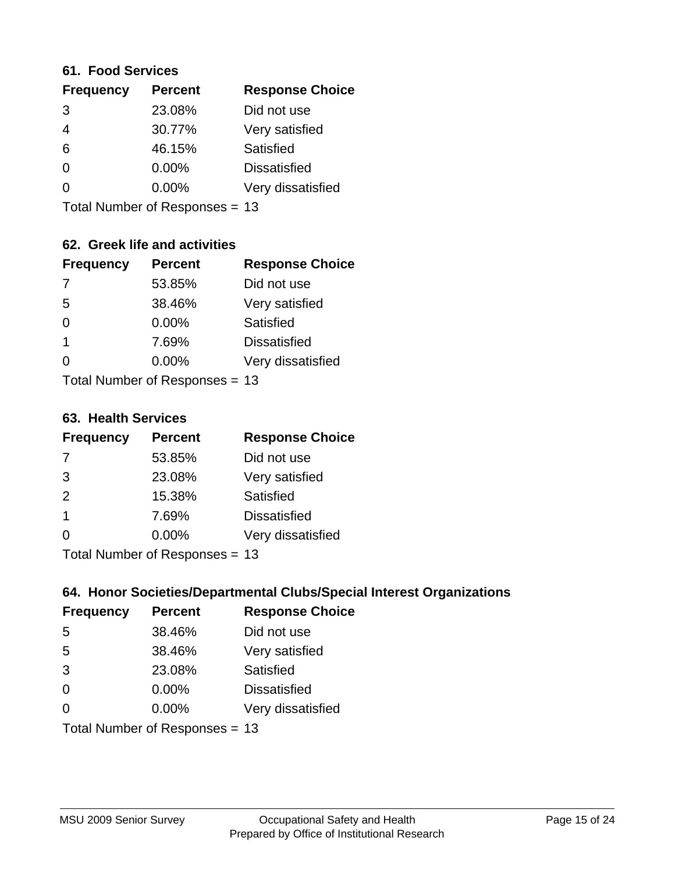#### **61. Food Services**

| <b>Frequency</b> | <b>Percent</b> | <b>Response Choice</b> |
|------------------|----------------|------------------------|
| 3                | 23.08%         | Did not use            |
| 4                | 30.77%         | Very satisfied         |
| 6                | 46.15%         | Satisfied              |
| 0                | $0.00\%$       | <b>Dissatisfied</b>    |
| ∩                | $0.00\%$       | Very dissatisfied      |
|                  |                |                        |

Total Number of Responses = 13

## **62. Greek life and activities**

| <b>Frequency</b> | <b>Percent</b>                 | <b>Response Choice</b> |
|------------------|--------------------------------|------------------------|
| -7               | 53.85%                         | Did not use            |
| 5                | 38.46%                         | Very satisfied         |
| $\Omega$         | 0.00%                          | Satisfied              |
| 1                | 7.69%                          | <b>Dissatisfied</b>    |
| 0                | $0.00\%$                       | Very dissatisfied      |
|                  | Total Number of Responses = 13 |                        |

**63. Health Services**

| <b>Frequency</b> | <b>Percent</b>            | <b>Response Choice</b> |
|------------------|---------------------------|------------------------|
| 7                | 53.85%                    | Did not use            |
| 3                | 23.08%                    | Very satisfied         |
| 2                | 15.38%                    | <b>Satisfied</b>       |
| -1               | 7.69%                     | <b>Dissatisfied</b>    |
| $\Omega$         | $0.00\%$                  | Very dissatisfied      |
|                  | Total Number of Deepersee |                        |

Total Number of Responses = 13

### **64. Honor Societies/Departmental Clubs/Special Interest Organizations**

| <b>Frequency</b> | <b>Percent</b>                 | <b>Response Choice</b> |
|------------------|--------------------------------|------------------------|
| 5                | 38.46%                         | Did not use            |
| 5                | 38.46%                         | Very satisfied         |
| 3                | 23.08%                         | Satisfied              |
| $\Omega$         | $0.00\%$                       | <b>Dissatisfied</b>    |
| $\Omega$         | 0.00%                          | Very dissatisfied      |
|                  | Total Number of Responses = 13 |                        |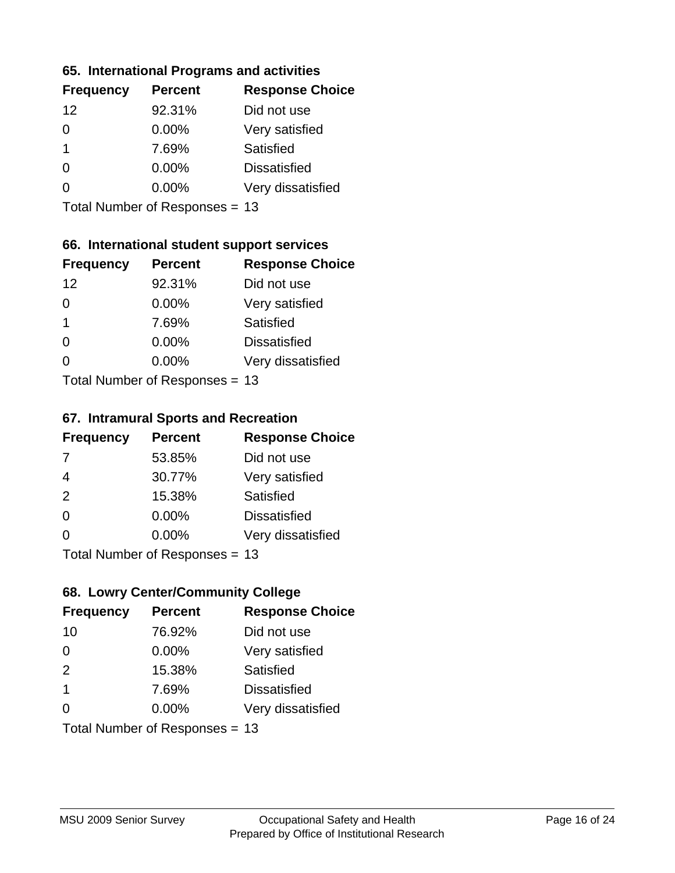### **65. International Programs and activities**

| <b>Frequency</b> | <b>Percent</b> | <b>Response Choice</b> |
|------------------|----------------|------------------------|
| 12               | 92.31%         | Did not use            |
| 0                | 0.00%          | Very satisfied         |
| 1                | 7.69%          | Satisfied              |
| O                | $0.00\%$       | <b>Dissatisfied</b>    |
|                  | $0.00\%$       | Very dissatisfied      |
|                  |                |                        |

Total Number of Responses = 13

### **66. International student support services**

| <b>Frequency</b> | <b>Percent</b>            | <b>Response Choice</b> |
|------------------|---------------------------|------------------------|
| 12               | 92.31%                    | Did not use            |
| $\Omega$         | 0.00%                     | Very satisfied         |
| 1                | 7.69%                     | Satisfied              |
| $\Omega$         | 0.00%                     | <b>Dissatisfied</b>    |
| 0                | 0.00%                     | Very dissatisfied      |
|                  | Total Number of Desponses |                        |

Total Number of Responses = 13

#### **67. Intramural Sports and Recreation**

| <b>Frequency</b> | <b>Percent</b>                  | <b>Response Choice</b> |
|------------------|---------------------------------|------------------------|
| 7                | 53.85%                          | Did not use            |
| $\overline{4}$   | 30.77%                          | Very satisfied         |
| 2                | 15.38%                          | Satisfied              |
| $\Omega$         | 0.00%                           | <b>Dissatisfied</b>    |
| $\Omega$         | 0.00%                           | Very dissatisfied      |
|                  | $Total Number of Denonose = 42$ |                        |

I otal Number of Responses = 13

## **68. Lowry Center/Community College**

| <b>Frequency</b>        | <b>Percent</b>                 | <b>Response Choice</b> |
|-------------------------|--------------------------------|------------------------|
| 10                      | 76.92%                         | Did not use            |
| $\Omega$                | 0.00%                          | Very satisfied         |
| 2                       | 15.38%                         | Satisfied              |
| $\overline{\mathbf{1}}$ | 7.69%                          | <b>Dissatisfied</b>    |
| $\Omega$                | $0.00\%$                       | Very dissatisfied      |
|                         | Total Number of Responses = 13 |                        |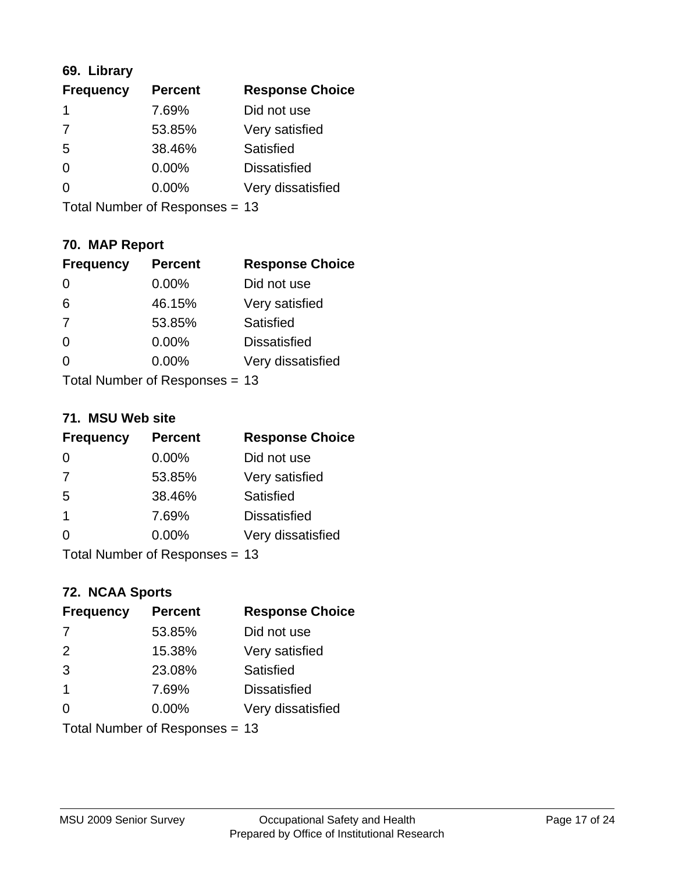## **69. Library**

| <b>Frequency</b> | <b>Percent</b> | <b>Response Choice</b> |
|------------------|----------------|------------------------|
| 1                | 7.69%          | Did not use            |
| 7                | 53.85%         | Very satisfied         |
| 5                | 38.46%         | Satisfied              |
| $\Omega$         | 0.00%          | <b>Dissatisfied</b>    |
| 0                | 0.00%          | Very dissatisfied      |
|                  |                |                        |

Total Number of Responses = 13

## **70. MAP Report**

| <b>Frequency</b> | <b>Percent</b>                 | <b>Response Choice</b> |
|------------------|--------------------------------|------------------------|
| 0                | 0.00%                          | Did not use            |
| 6                | 46.15%                         | Very satisfied         |
| -7               | 53.85%                         | Satisfied              |
| $\Omega$         | 0.00%                          | <b>Dissatisfied</b>    |
| O                | $0.00\%$                       | Very dissatisfied      |
|                  | Total Number of Responses = 13 |                        |

### **71. MSU Web site**

| <b>Frequency</b> | <b>Percent</b>                 | <b>Response Choice</b> |
|------------------|--------------------------------|------------------------|
| $\Omega$         | $0.00\%$                       | Did not use            |
| 7                | 53.85%                         | Very satisfied         |
| 5                | 38.46%                         | Satisfied              |
| -1               | 7.69%                          | <b>Dissatisfied</b>    |
| ∩                | 0.00%                          | Very dissatisfied      |
|                  | Total Number of Responses = 13 |                        |

# **72. NCAA Sports**

| <b>Frequency</b> | <b>Percent</b>                 | <b>Response Choice</b> |
|------------------|--------------------------------|------------------------|
| 7                | 53.85%                         | Did not use            |
| 2                | 15.38%                         | Very satisfied         |
| 3                | 23.08%                         | Satisfied              |
| $\mathbf 1$      | 7.69%                          | <b>Dissatisfied</b>    |
| $\Omega$         | 0.00%                          | Very dissatisfied      |
|                  | Total Number of Responses = 13 |                        |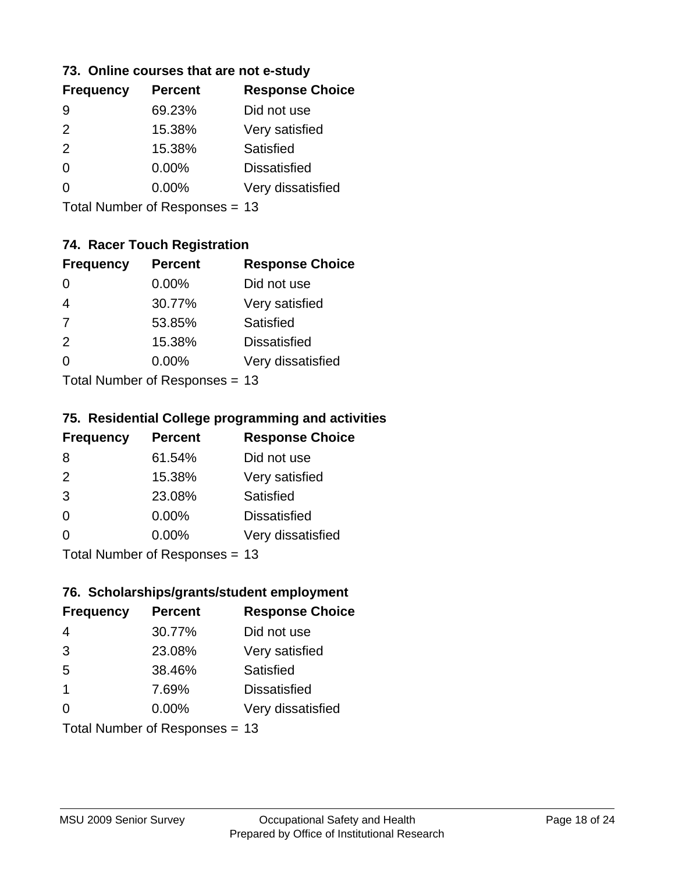### **73. Online courses that are not e-study**

| <b>Frequency</b> | <b>Percent</b> | <b>Response Choice</b> |
|------------------|----------------|------------------------|
|                  | 69.23%         | Did not use            |
| $\mathcal{P}$    | 15.38%         | Very satisfied         |
| 2                | 15.38%         | Satisfied              |
| 0                | $0.00\%$       | <b>Dissatisfied</b>    |
|                  | $0.00\%$       | Very dissatisfied      |
|                  |                |                        |

Total Number of Responses = 13

## **74. Racer Touch Registration**

| <b>Frequency</b>             | <b>Percent</b> | <b>Response Choice</b> |
|------------------------------|----------------|------------------------|
| 0                            | $0.00\%$       | Did not use            |
| $\overline{4}$               | 30.77%         | Very satisfied         |
| 7                            | 53.85%         | Satisfied              |
| 2                            | 15.38%         | <b>Dissatisfied</b>    |
| 0                            | $0.00\%$       | Very dissatisfied      |
| $Total Number of DoEROROR -$ |                |                        |

Total Number of Responses = 13

### **75. Residential College programming and activities**

| <b>Frequency</b> | <b>Percent</b>                   | <b>Response Choice</b> |
|------------------|----------------------------------|------------------------|
| 8                | 61.54%                           | Did not use            |
| 2                | 15.38%                           | Very satisfied         |
| 3                | 23.08%                           | Satisfied              |
| $\Omega$         | 0.00%                            | <b>Dissatisfied</b>    |
| $\Omega$         | 0.00%                            | Very dissatisfied      |
|                  | $Total Number of Doepopose = 42$ |                        |

Total Number of Responses = 13

### **76. Scholarships/grants/student employment**

| <b>Frequency</b>        | <b>Percent</b>                 | <b>Response Choice</b> |
|-------------------------|--------------------------------|------------------------|
| $\overline{4}$          | 30.77%                         | Did not use            |
| 3                       | 23.08%                         | Very satisfied         |
| 5                       | 38.46%                         | <b>Satisfied</b>       |
| $\overline{\mathbf{1}}$ | 7.69%                          | <b>Dissatisfied</b>    |
| $\Omega$                | 0.00%                          | Very dissatisfied      |
|                         | Total Number of Responses = 13 |                        |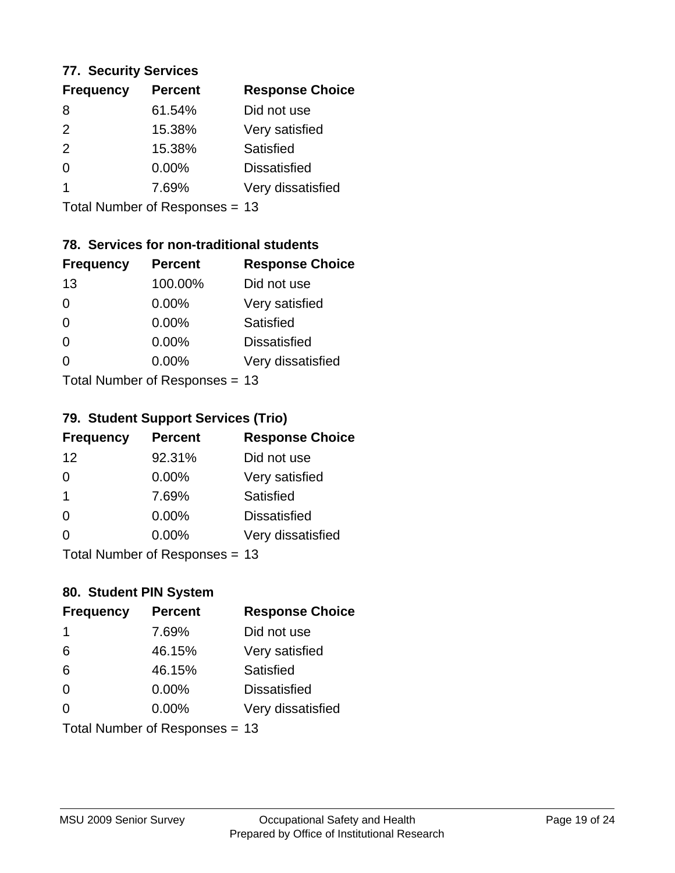### **77. Security Services**

| <b>Percent</b> | <b>Response Choice</b> |
|----------------|------------------------|
| 61.54%         | Did not use            |
| 15.38%         | Very satisfied         |
| 15.38%         | Satisfied              |
| 0.00%          | <b>Dissatisfied</b>    |
| 7.69%          | Very dissatisfied      |
|                |                        |

Total Number of Responses = 13

## **78. Services for non-traditional students**

| <b>Frequency</b>          | <b>Percent</b> | <b>Response Choice</b> |
|---------------------------|----------------|------------------------|
| 13                        | 100.00%        | Did not use            |
| 0                         | 0.00%          | Very satisfied         |
| $\Omega$                  | $0.00\%$       | Satisfied              |
| $\Omega$                  | 0.00%          | <b>Dissatisfied</b>    |
| 0                         | 0.00%          | Very dissatisfied      |
| Total Number of Desponses |                |                        |

Total Number of Responses = 13

### **79. Student Support Services (Trio)**

| <b>Frequency</b> | <b>Percent</b>                  | <b>Response Choice</b> |
|------------------|---------------------------------|------------------------|
| 12               | 92.31%                          | Did not use            |
| $\Omega$         | 0.00%                           | Very satisfied         |
| -1               | 7.69%                           | Satisfied              |
| $\Omega$         | 0.00%                           | <b>Dissatisfied</b>    |
| $\Omega$         | 0.00%                           | Very dissatisfied      |
|                  | $Total Number of Denonose = 42$ |                        |

I otal Number of Responses = 13

## **80. Student PIN System**

| <b>Frequency</b>               | <b>Percent</b> | <b>Response Choice</b> |
|--------------------------------|----------------|------------------------|
| -1                             | 7.69%          | Did not use            |
| 6                              | 46.15%         | Very satisfied         |
| 6                              | 46.15%         | Satisfied              |
| $\Omega$                       | 0.00%          | <b>Dissatisfied</b>    |
| 0                              | $0.00\%$       | Very dissatisfied      |
| Total Number of Responses = 13 |                |                        |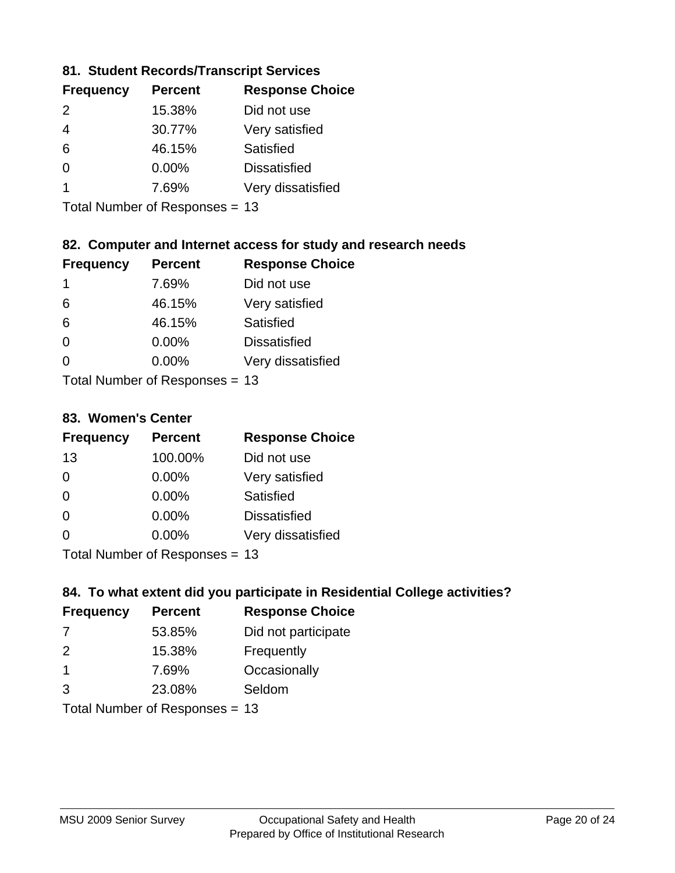### **81. Student Records/Transcript Services**

| <b>Frequency</b> | <b>Percent</b> | <b>Response Choice</b> |
|------------------|----------------|------------------------|
| $\mathcal{P}$    | 15.38%         | Did not use            |
| 4                | 30.77%         | Very satisfied         |
| 6                | 46.15%         | Satisfied              |
| ∩                | 0.00%          | <b>Dissatisfied</b>    |
|                  | 7.69%          | Very dissatisfied      |

Total Number of Responses = 13

### **82. Computer and Internet access for study and research needs**

| <b>Frequency</b> | <b>Percent</b>            | <b>Response Choice</b> |
|------------------|---------------------------|------------------------|
| 1                | 7.69%                     | Did not use            |
| 6                | 46.15%                    | Very satisfied         |
| 6                | 46.15%                    | Satisfied              |
| $\Omega$         | 0.00%                     | <b>Dissatisfied</b>    |
| ∩                | 0.00%                     | Very dissatisfied      |
|                  | Total Number of Deepensee |                        |

Total Number of Responses = 13

### **83. Women's Center**

| <b>Frequency</b> | <b>Percent</b>            | <b>Response Choice</b> |
|------------------|---------------------------|------------------------|
| 13               | 100.00%                   | Did not use            |
| $\Omega$         | $0.00\%$                  | Very satisfied         |
| $\Omega$         | $0.00\%$                  | Satisfied              |
| $\Omega$         | 0.00%                     | <b>Dissatisfied</b>    |
| $\Omega$         | 0.00%                     | Very dissatisfied      |
|                  | Total Number of Desponses |                        |

Total Number of Responses = 13

### **84. To what extent did you participate in Residential College activities?**

| <b>Frequency</b> | <b>Percent</b>                         | <b>Response Choice</b> |
|------------------|----------------------------------------|------------------------|
| 7                | 53.85%                                 | Did not participate    |
| $\mathcal{P}$    | 15.38%                                 | Frequently             |
| $\mathbf 1$      | 7.69%                                  | Occasionally           |
| 3                | 23.08%                                 | Seldom                 |
|                  | $Total Number of Denonce -\frac{1}{2}$ |                        |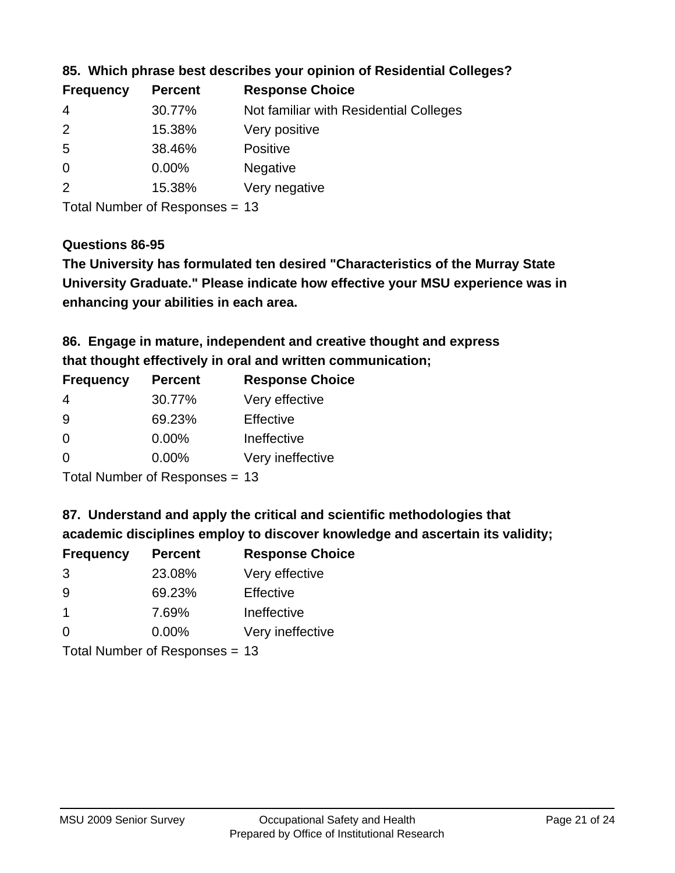| <b>Frequency</b> | <b>Percent</b> | <b>Response Choice</b>                 |
|------------------|----------------|----------------------------------------|
| -4               | 30.77%         | Not familiar with Residential Colleges |
| 2                | 15.38%         | Very positive                          |
| -5               | 38.46%         | <b>Positive</b>                        |
| $\overline{0}$   | $0.00\%$       | <b>Negative</b>                        |
| 2                | 15.38%         | Very negative                          |

**85. Which phrase best describes your opinion of Residential Colleges?**

Total Number of Responses = 13

### **Questions 86-95**

**University Graduate." Please indicate how effective your MSU experience was in The University has formulated ten desired "Characteristics of the Murray State enhancing your abilities in each area.**

**86. Engage in mature, independent and creative thought and express that thought effectively in oral and written communication;**

| <b>Frequency</b> | <b>Percent</b> | <b>Response Choice</b> |
|------------------|----------------|------------------------|
| 4                | 30.77%         | Very effective         |
| 9                | 69.23%         | Effective              |
| $\Omega$         | 0.00%          | Ineffective            |
| $\Omega$         | $0.00\%$       | Very ineffective       |

Total Number of Responses = 13

**87. Understand and apply the critical and scientific methodologies that** 

**academic disciplines employ to discover knowledge and ascertain its validity;**

| <b>Frequency</b> | <b>Percent</b> | <b>Response Choice</b> |
|------------------|----------------|------------------------|
| 3                | 23.08%         | Very effective         |
| 9                | 69.23%         | Effective              |
|                  | 7.69%          | Ineffective            |
| ∩                | 0.00%          | Very ineffective       |
|                  |                |                        |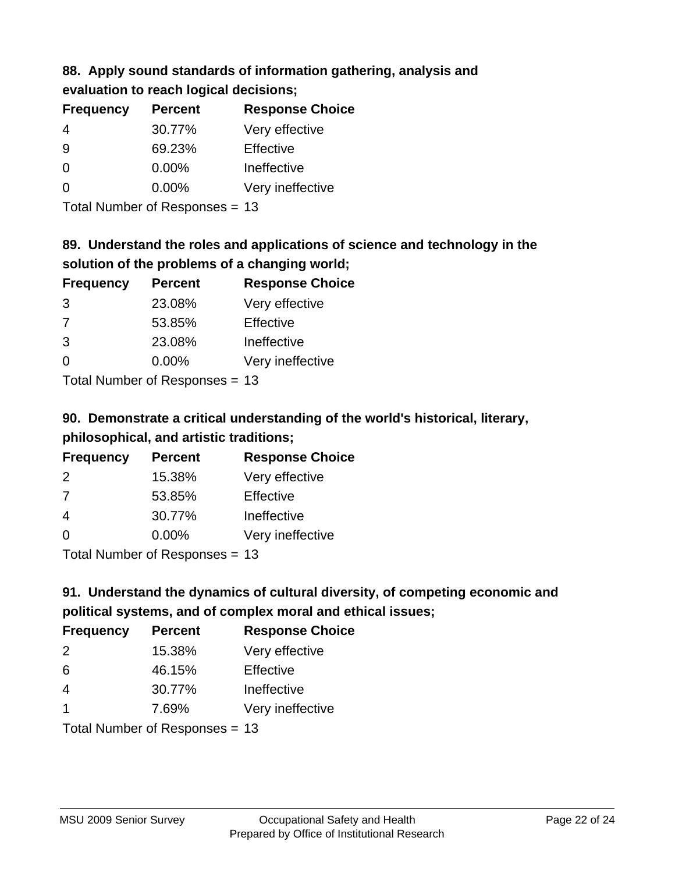## **88. Apply sound standards of information gathering, analysis and evaluation to reach logical decisions;**

| <b>Frequency</b> | <b>Percent</b> | <b>Response Choice</b> |
|------------------|----------------|------------------------|
| 4                | 30.77%         | Very effective         |
| 9                | 69.23%         | Effective              |
| $\Omega$         | 0.00%          | Ineffective            |
| $\Omega$         | $0.00\%$       | Very ineffective       |
|                  |                |                        |

Total Number of Responses = 13

## **89. Understand the roles and applications of science and technology in the solution of the problems of a changing world;**

| <b>Frequency</b> | <b>Percent</b>                                          | <b>Response Choice</b> |
|------------------|---------------------------------------------------------|------------------------|
| 3                | 23.08%                                                  | Very effective         |
| 7                | 53.85%                                                  | Effective              |
| 3                | 23.08%                                                  | Ineffective            |
| $\Omega$         | 0.00%                                                   | Very ineffective       |
|                  | $T$ at all Masseds and $R$ $\sim$ and $\sim$ and $\sim$ |                        |

Total Number of Responses = 13

# **90. Demonstrate a critical understanding of the world's historical, literary, philosophical, and artistic traditions;**

| <b>Frequency</b> | <b>Percent</b> | <b>Response Choice</b> |
|------------------|----------------|------------------------|
| 2                | 15.38%         | Very effective         |
| 7                | 53.85%         | Effective              |
| $\overline{4}$   | 30.77%         | Ineffective            |
| $\Omega$         | 0.00%          | Very ineffective       |
|                  |                |                        |

Total Number of Responses = 13

# **91. Understand the dynamics of cultural diversity, of competing economic and political systems, and of complex moral and ethical issues;**

| <b>Frequency</b>        | <b>Percent</b>                 | <b>Response Choice</b> |
|-------------------------|--------------------------------|------------------------|
| 2                       | 15.38%                         | Very effective         |
| 6                       | 46.15%                         | Effective              |
| $\overline{4}$          | 30.77%                         | Ineffective            |
| $\overline{\mathbf{1}}$ | 7.69%                          | Very ineffective       |
|                         | Total Number of Responses = 13 |                        |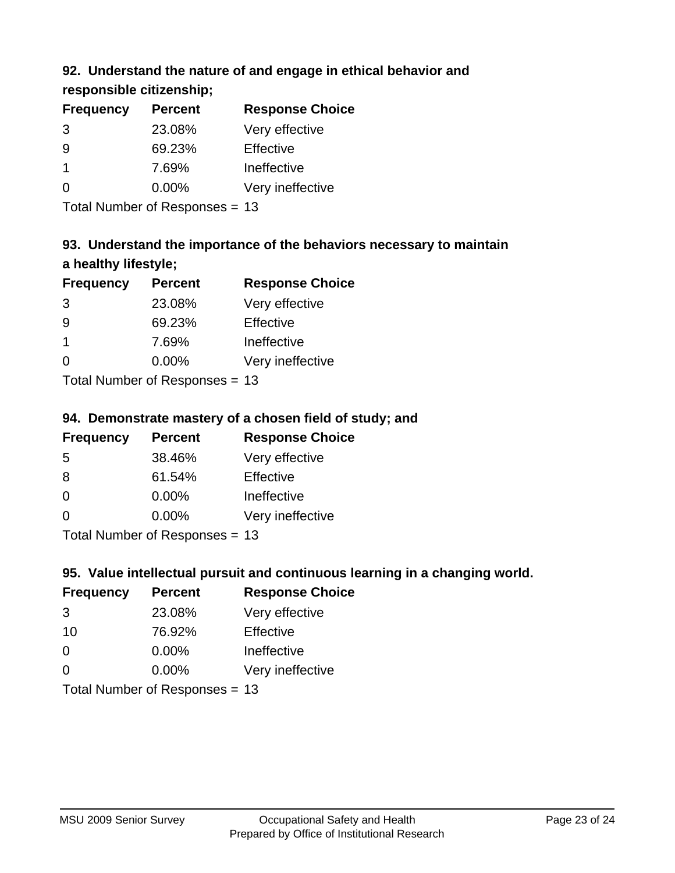## **92. Understand the nature of and engage in ethical behavior and**

**responsible citizenship;**

| <b>Frequency</b> | <b>Percent</b> | <b>Response Choice</b> |
|------------------|----------------|------------------------|
| 3                | 23.08%         | Very effective         |
| 9                | 69.23%         | Effective              |
| 1                | 7.69%          | Ineffective            |
| ∩                | $0.00\%$       | Very ineffective       |
|                  |                |                        |

Total Number of Responses = 13

# **93. Understand the importance of the behaviors necessary to maintain a healthy lifestyle;**

| <b>Frequency</b>          | <b>Percent</b> | <b>Response Choice</b> |
|---------------------------|----------------|------------------------|
| 3                         | 23.08%         | Very effective         |
| 9                         | 69.23%         | Effective              |
| $\mathbf 1$               | 7.69%          | Ineffective            |
| $\Omega$                  | 0.00%          | Very ineffective       |
| Tatal Manulau af Dannauga |                |                        |

Total Number of Responses = 13

## **94. Demonstrate mastery of a chosen field of study; and**

| <b>Frequency</b> | <b>Percent</b> | <b>Response Choice</b> |
|------------------|----------------|------------------------|
| 5                | 38.46%         | Very effective         |
| 8                | 61.54%         | Effective              |
| $\Omega$         | 0.00%          | Ineffective            |
| $\Omega$         | 0.00%          | Very ineffective       |
|                  |                |                        |

Total Number of Responses = 13

## **95. Value intellectual pursuit and continuous learning in a changing world.**

| <b>Frequency</b> | <b>Percent</b>             | <b>Response Choice</b> |
|------------------|----------------------------|------------------------|
| 3                | 23.08%                     | Very effective         |
| 10               | 76.92%                     | Effective              |
| $\Omega$         | $0.00\%$                   | Ineffective            |
| $\Omega$         | 0.00%                      | Very ineffective       |
|                  | Tatal Number of Desperance |                        |